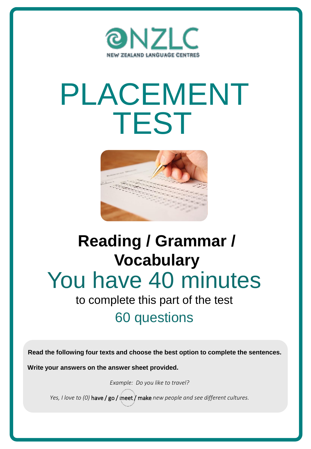

# PLACEMENT TEST



## You have 40 minutes **Reading / Grammar / Vocabulary**

## to complete this part of the test 60 questions

**Read the following four texts and choose the best option to complete the sentences.**

**Write your answers on the answer sheet provided.**

*Example: Do you like to travel?*

*Yes, I love to (0)* have / go / meet / make *new people and see different cultures.*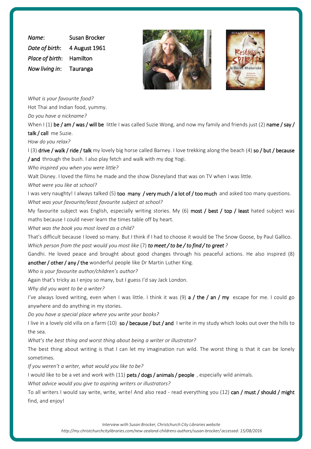*Name*: Susan Brocker *Date of birth*: 4 August 1961 *Place of birth*: Hamilton *Now living in*: Tauranga





*What is your favourite food?*

Hot Thai and Indian food, yummy.

*Do you have a nickname?*

When I (1) be / am / was / will be little I was called Suzie Wong, and now my family and friends just (2) name / say / talk / call me Suzie.

*How do you relax?*

I (3) drive / walk / ride / talk my lovely big horse called Barney. I love trekking along the beach (4) so / but / because / and through the bush. I also play fetch and walk with my dog Yogi.

*Who inspired you when you were little?*

Walt Disney. I loved the films he made and the show Disneyland that was on TV when I was little.

*What were you like at school?*

I was very naughty! I always talked (5) too many / very much / a lot of / too much and asked too many questions. *What was your favourite/least favourite subject at school?*

My favourite subject was English, especially writing stories. My  $(6)$  most / best / top / least hated subject was maths because I could never learn the times table off by heart.

*What was the book you most loved as a child?*

That's difficult because I loved so many. But I think if I had to choose it would be The Snow Goose, by Paul Gallico. Which person from the past would you most like  $(7)$  to meet/to be/to find/to greet?

Gandhi. He loved peace and brought about good changes through his peaceful actions. He also inspired (8) another / other / any / the wonderful people like Dr Martin Luther King.

*Who is your favourite author/children's author?*

Again that's tricky as I enjoy so many, but I guess I'd say Jack London.

*Why did you want to be a writer?*

I've always loved writing, even when I was little. I think it was  $(9)$  a / the / an / my escape for me. I could go anywhere and do anything in my stories.

*Do you have a special place where you write your books?*

I live in a lovely old villa on a farm (10) so / because / but / and I write in my study which looks out over the hills to the sea.

*What's the best thing and worst thing about being a writer or illustrator?*

The best thing about writing is that I can let my imagination run wild. The worst thing is that it can be lonely sometimes.

*If you weren't a writer, what would you like to be?*

I would like to be a vet and work with (11) pets / dogs / animals / people, especially wild animals.

*What advice would you give to aspiring writers or illustrators?*

To all writers I would say write, write, write! And also read - read everything you (12) can / must / should / might find, and enjoy!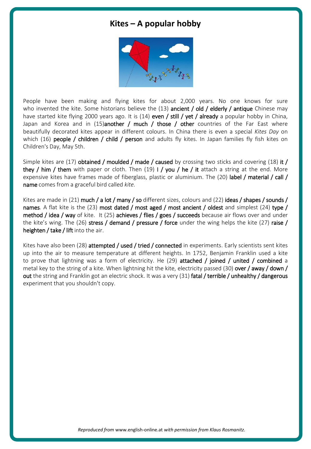#### **Kites – A popular hobby**



People have been making and flying kites for about 2,000 years. No one knows for sure who invented the kite. Some historians believe the  $(13)$  ancient / old / elderly / antique Chinese may have started kite flying 2000 years ago. It is (14) even / still / yet / already a popular hobby in China, Japan and Korea and in (15)another / much / those / other countries of the Far East where beautifully decorated kites appear in different colours. In China there is even a special *Kites Day* on which (16) people / children / child / person and adults fly kites. In Japan families fly fish kites on Children's Day, May 5th.

Simple kites are (17) obtained / moulded / made / caused by crossing two sticks and covering (18) it / they / him / them with paper or cloth. Then (19) I / you / he / it attach a string at the end. More expensive kites have frames made of fiberglass, plastic or aluminium. The (20) label / material / call / name comes from a graceful bird called *kite.*

Kites are made in (21) much / a lot / many / so different sizes, colours and (22) ideas / shapes / sounds / names. A flat kite is the (23) most dated / most aged / most ancient / oldest and simplest (24) type / method / idea / way of kite. It (25) achieves / flies / goes / succeeds because air flows over and under the kite's wing. The (26) stress / demand / pressure / force under the wing helps the kite (27) raise / heighten / take / lift into the air.

Kites have also been (28) attempted / used / tried / connected in experiments. Early scientists sent kites up into the air to measure temperature at different heights. In 1752, Benjamin Franklin used a kite to prove that lightning was a form of electricity. He (29) attached / joined / united / combined a metal key to the string of a kite. When lightning hit the kite, electricity passed (30) over / away / down / out the string and Franklin got an electric shock. It was a very (31) fatal / terrible / unhealthy / dangerous experiment that you shouldn't copy.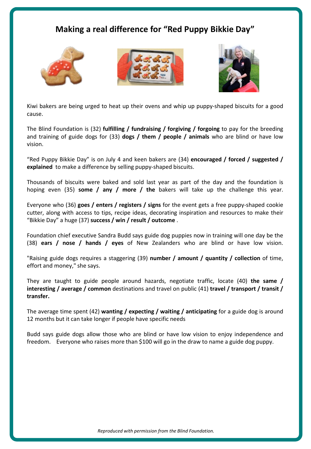#### **Making a real difference for "Red Puppy Bikkie Day"**







Kiwi bakers are being urged to heat up their ovens and whip up puppy-shaped biscuits for a good cause.

The Blind Foundation is (32) **fulfilling / fundraising / forgiving / forgoing** to pay for the breeding and training of guide dogs for (33) **dogs / them / people / animals** who are blind or have low vision.

"Red Puppy Bikkie Day" is on July 4 and keen bakers are (34) **encouraged / forced / suggested / explained** to make a difference by selling puppy-shaped biscuits.

Thousands of biscuits were baked and sold last year as part of the day and the foundation is hoping even (35) **some / any / more / the** bakers will take up the challenge this year.

Everyone who (36) **goes / enters / registers / signs** for the event gets a free puppy-shaped cookie cutter, along with access to tips, recipe ideas, decorating inspiration and resources to make their "Bikkie Day" a huge (37) **success / win / result / outcome** .

Foundation chief executive Sandra Budd says guide dog puppies now in training will one day be the (38) **ears / nose / hands / eyes** of New Zealanders who are blind or have low vision.

"Raising guide dogs requires a staggering (39) **number / amount / quantity / collection** of time, effort and money," she says.

They are taught to guide people around hazards, negotiate traffic, locate (40) **the same / interesting / average / common** destinations and travel on public (41) **travel / transport / transit / transfer.**

The average time spent (42) **wanting / expecting / waiting / anticipating** for a guide dog is around 12 months but it can take longer if people have specific needs

Budd says guide dogs allow those who are blind or have low vision to enjoy independence and freedom. Everyone who raises more than \$100 will go in the draw to name a guide dog puppy.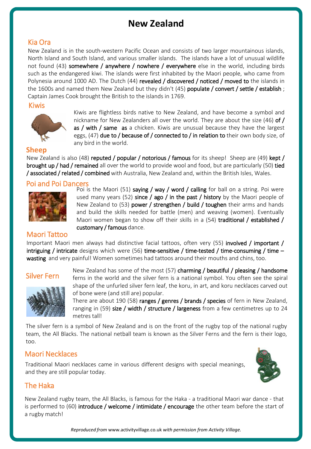### **New Zealand**

#### Kia Ora

New Zealand is in the south-western Pacific Ocean and consists of two larger mountainous islands, North Island and South Island, and various smaller islands. The islands have a lot of unusual wildlife not found (43) somewhere / anywhere / nowhere / everywhere else in the world, including birds such as the endangered kiwi. The islands were first inhabited by the Maori people, who came from Polynesia around 1000 AD. The Dutch (44) revealed / discovered / noticed / moved to the islands in the 1600s and named them New Zealand but they didn't  $(45)$  populate / convert / settle / establish; Captain James Cook brought the British to the islands in 1769.

Kiwis



Kiwis are flightless birds native to New Zealand, and have become a symbol and nickname for New Zealanders all over the world. They are about the size (46) of  $/$ as / with / same as a chicken. Kiwis are unusual because they have the largest eggs, (47) due to / because of / connected to / in relation to their own body size, of any bird in the world.

#### **Sheep**

New Zealand is also (48) reputed / popular / notorious / famous for its sheep! Sheep are (49) kept / brought up / had / remained all over the world to provide wool and food, but are particularly (50) tied / associated / related / combined with Australia, New Zealand and, within the British Isles, Wales.

#### Poi and Poi Dancers



Poi is the Maori (51) saying / way / word / calling for ball on a string. Poi were used many years (52) since / ago / in the past / history by the Maori people of New Zealand to  $(53)$  power / strengthen / build / toughen their arms and hands and build the skills needed for battle (men) and weaving (women). Eventually Maori women began to show off their skills in a  $(54)$  traditional / established / customary / famous dance.

#### Maori Tattoo

Important Maori men always had distinctive facial tattoos, often very (55) involved / important / intriguing / intricate designs which were (56) time-sensitive / time-tested / time-consuming / time – wasting and very painful! Women sometimes had tattoos around their mouths and chins, too.

#### Silver Fern



New Zealand has some of the most  $(57)$  charming / beautiful / pleasing / handsome ferns in the world and the silver fern is a national symbol. You often see the spiral shape of the unfurled silver fern leaf, the koru, in art, and koru necklaces carved out of bone were (and still are) popular.

There are about 190 (58) ranges / genres / brands / species of fern in New Zealand, ranging in (59) size / width / structure / largeness from a few centimetres up to 24 metres tall!

The silver fern is a symbol of New Zealand and is on the front of the rugby top of the national rugby team, the All Blacks. The national netball team is known as the Silver Ferns and the fern is their logo, too.

#### Maori Necklaces

Traditional Maori necklaces came in various different designs with special meanings, and they are still popular today.



#### The Haka

New Zealand rugby team, the All Blacks, is famous for the Haka - a traditional Maori war dance - that is performed to  $(60)$  introduce / welcome / intimidate / encourage the other team before the start of a rugby match!

*Reproduced from* www.activityvillage.co.uk *with permission from Activity Village.*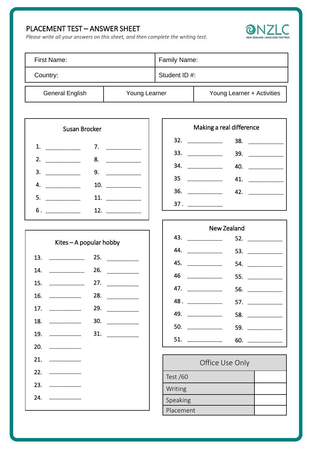#### PLACEMENT TEST – ANSWER SHEET





| First Name:     |               | Family Name:  |                            |
|-----------------|---------------|---------------|----------------------------|
| Country:        |               | Student ID #: |                            |
| General English | Young Learner |               | Young Learner + Activities |

| Susan Brocker                                                                                                                                                                                                                                                                                                                                                                                                                |     |  |
|------------------------------------------------------------------------------------------------------------------------------------------------------------------------------------------------------------------------------------------------------------------------------------------------------------------------------------------------------------------------------------------------------------------------------|-----|--|
| 1.                                                                                                                                                                                                                                                                                                                                                                                                                           | 7.  |  |
| 2.                                                                                                                                                                                                                                                                                                                                                                                                                           | 8.  |  |
| 3.                                                                                                                                                                                                                                                                                                                                                                                                                           | 9.  |  |
| 4.<br>$\begin{tabular}{ccccc} \multicolumn{2}{c }{\textbf{1} & \textbf{2} & \textbf{3} & \textbf{4} & \textbf{5} & \textbf{5} & \textbf{6} & \textbf{7} & \textbf{8} & \textbf{9} & \textbf{10} & \textbf{10} & \textbf{10} & \textbf{10} & \textbf{10} & \textbf{10} & \textbf{10} & \textbf{10} & \textbf{10} & \textbf{10} & \textbf{10} & \textbf{10} & \textbf{10} & \textbf{10} & \textbf{10} & \textbf{10} & \textbf$ | 10. |  |
| 5.                                                                                                                                                                                                                                                                                                                                                                                                                           | 11. |  |
| 6.                                                                                                                                                                                                                                                                                                                                                                                                                           | 12. |  |

|                             | 25. $\qquad \qquad$ |
|-----------------------------|---------------------|
|                             |                     |
|                             |                     |
|                             |                     |
|                             |                     |
|                             |                     |
|                             |                     |
| 20.                         |                     |
| 21.                         |                     |
|                             |                     |
| 23. $\overline{\phantom{a}$ |                     |
| 24.                         |                     |
|                             |                     |

| Making a real difference                                                                                                                                                                                                                                                                                                                                                                                                                                                                                                      |                                      |  |
|-------------------------------------------------------------------------------------------------------------------------------------------------------------------------------------------------------------------------------------------------------------------------------------------------------------------------------------------------------------------------------------------------------------------------------------------------------------------------------------------------------------------------------|--------------------------------------|--|
| 32.<br>$\begin{tabular}{ccccc} \multicolumn{2}{c }{\textbf{1} & \multicolumn{2}{c }{\textbf{2} & \multicolumn{2}{c }{\textbf{3} & \multicolumn{2}{c }{\textbf{4} & \multicolumn{2}{c }{\textbf{5} & \multicolumn{2}{c }{\textbf{6} & \multicolumn{2}{c }{\textbf{6} & \multicolumn{2}{c }{\textbf{6} & \multicolumn{2}{c }{\textbf{6} & \multicolumn{2}{c }{\textbf{6} & \multicolumn{2}{c }{\textbf{6} & \multicolumn{2}{c }{\textbf{6} & \multicolumn{2}{$                                                                  | $\begin{array}{c}\n 38. \end{array}$ |  |
| 33.<br>$\begin{tabular}{ccccc} \multicolumn{2}{c }{\textbf{\textcolor{blue}{\bf -}}}& & \multicolumn{2}{c }{\textbf{\textcolor{blue}{\bf -}}}& & \multicolumn{2}{c }{\textbf{\textcolor{blue}{\bf -}}}& & \multicolumn{2}{c }{\textbf{\textcolor{blue}{\bf -}}}& & \multicolumn{2}{c }{\textbf{\textcolor{blue}{\bf -}}}& & \multicolumn{2}{c }{\textbf{\textcolor{blue}{\bf -}}}& & \multicolumn{2}{c }{\textbf{\textcolor{blue}{\bf -}}}& & \multicolumn{2}{c }{\textbf{\textcolor{blue}{\bf -}}}& & \multicolumn{2}{c }{\$ | 39. $\qquad \qquad$                  |  |
| 34.                                                                                                                                                                                                                                                                                                                                                                                                                                                                                                                           | 40. $\qquad \qquad$                  |  |
| 35                                                                                                                                                                                                                                                                                                                                                                                                                                                                                                                            | 41. $\qquad \qquad$                  |  |
| 36.<br>$\begin{tabular}{ccccc} \multicolumn{2}{c }{\textbf{1} & \multicolumn{2}{c }{\textbf{2} & \multicolumn{2}{c }{\textbf{3} & \multicolumn{2}{c }{\textbf{4} & \multicolumn{2}{c }{\textbf{5} & \multicolumn{2}{c }{\textbf{6} & \multicolumn{2}{c }{\textbf{6} & \multicolumn{2}{c }{\textbf{6} & \multicolumn{2}{c }{\textbf{6} & \multicolumn{2}{c }{\textbf{6} & \multicolumn{2}{c }{\textbf{6} & \multicolumn{2}{c }{\textbf{6} & \multicolumn{2}{$                                                                  | 42.                                  |  |
| 37.                                                                                                                                                                                                                                                                                                                                                                                                                                                                                                                           |                                      |  |

| New Zealand                     |                               |  |
|---------------------------------|-------------------------------|--|
| 43. $\overline{\qquad \qquad }$ | 52. $\qquad$                  |  |
| 44.                             | 53. $\overline{\phantom{a}0}$ |  |
| 45. $\qquad$                    | 54. $\qquad$                  |  |
| 46                              | 55. $\qquad$                  |  |
| 47. ___________                 | 56. $\qquad$                  |  |
|                                 |                               |  |
| 49. ____________                |                               |  |
| 50. ___________                 | 59. $\qquad$                  |  |
| 51.                             |                               |  |

| Office Use Only |  |
|-----------------|--|
| Test $/60$      |  |
| Writing         |  |
| Speaking        |  |
| Placement       |  |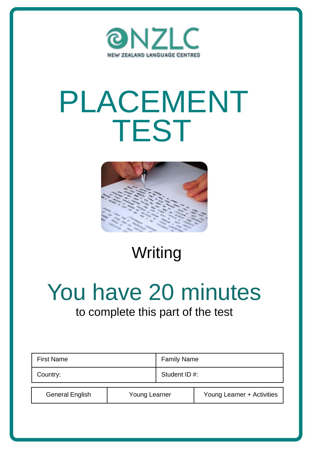

# PLACEMENT TEST



## Writing

# You have 20 minutes

### to complete this part of the test

| <b>First Name</b>      |               | <b>Family Name</b> |                            |
|------------------------|---------------|--------------------|----------------------------|
| Country:               |               | Student ID #:      |                            |
| <b>General English</b> | Young Learner |                    | Young Learner + Activities |